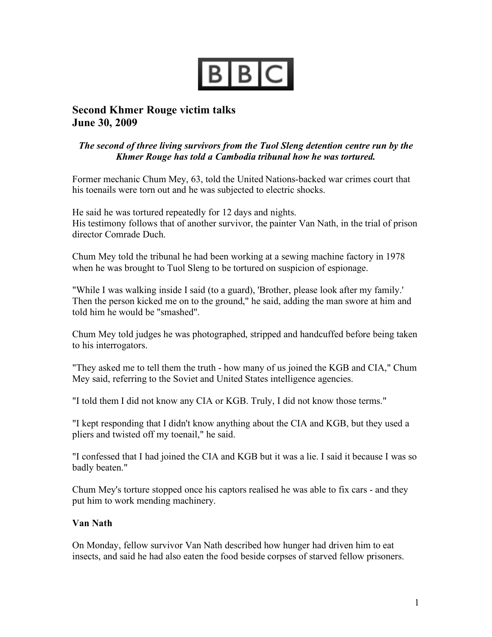

## **Second Khmer Rouge victim talks June 30, 2009**

## *The second of three living survivors from the Tuol Sleng detention centre run by the Khmer Rouge has told a Cambodia tribunal how he was tortured.*

Former mechanic Chum Mey, 63, told the United Nations-backed war crimes court that his toenails were torn out and he was subjected to electric shocks.

He said he was tortured repeatedly for 12 days and nights. His testimony follows that of another survivor, the painter Van Nath, in the trial of prison director Comrade Duch.

Chum Mey told the tribunal he had been working at a sewing machine factory in 1978 when he was brought to Tuol Sleng to be tortured on suspicion of espionage.

"While I was walking inside I said (to a guard), 'Brother, please look after my family.' Then the person kicked me on to the ground," he said, adding the man swore at him and told him he would be "smashed".

Chum Mey told judges he was photographed, stripped and handcuffed before being taken to his interrogators.

"They asked me to tell them the truth - how many of us joined the KGB and CIA," Chum Mey said, referring to the Soviet and United States intelligence agencies.

"I told them I did not know any CIA or KGB. Truly, I did not know those terms."

"I kept responding that I didn't know anything about the CIA and KGB, but they used a pliers and twisted off my toenail," he said.

"I confessed that I had joined the CIA and KGB but it was a lie. I said it because I was so badly beaten."

Chum Mey's torture stopped once his captors realised he was able to fix cars - and they put him to work mending machinery.

## **Van Nath**

On Monday, fellow survivor Van Nath described how hunger had driven him to eat insects, and said he had also eaten the food beside corpses of starved fellow prisoners.